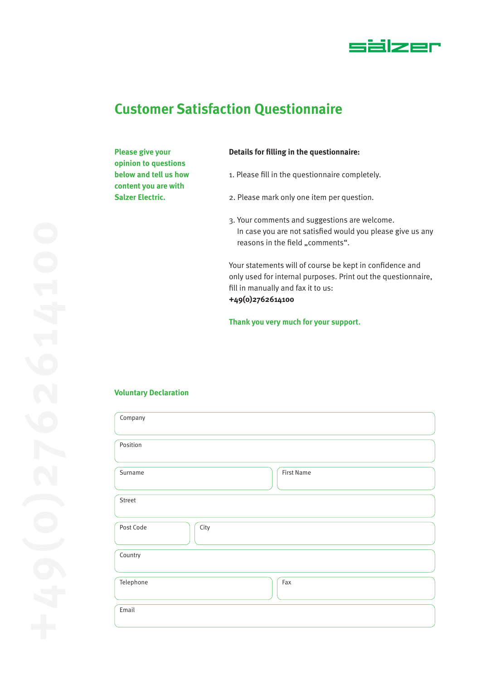

# **Customer Satisfaction Questionnaire**

**Please give your opinion to questions below and tell us how content you are with Salzer Electric.**

#### **Details for filling in the questionnaire:**

- 1. Please fill in the questionnaire completely.
- 2. Please mark only one item per question.
- 3. Your comments and suggestions are welcome. In case you are not satisfied would you please give us any reasons in the field "comments".

Your statements will of course be kept in confidence and only used for internal purposes. Print out the questionnaire, fill in manually and fax it to us: **+49(0)2762614100**

**Thank you very much for your support.**

#### **Voluntary Declaration**

| Company           |                   |
|-------------------|-------------------|
| Position          |                   |
| Surname           | <b>First Name</b> |
| Street            |                   |
| Post Code<br>City |                   |
| Country           |                   |
| Telephone         | Fax               |
| Email             |                   |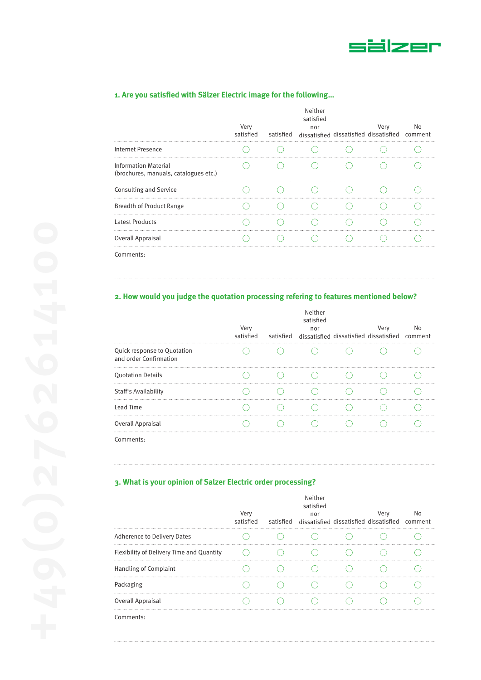

## **1. Are you satisfied with Sälzer Electric image for the following…**

|                                                                      | Very<br>satisfied | Neither<br>satisfied<br>nor<br>satisfied dissatisfied dissatisfied dissatisfied comment | Very | No |
|----------------------------------------------------------------------|-------------------|-----------------------------------------------------------------------------------------|------|----|
| Internet Presence                                                    |                   |                                                                                         |      |    |
| <b>Information Material</b><br>(brochures, manuals, catalogues etc.) |                   |                                                                                         |      |    |
| Consulting and Service                                               |                   |                                                                                         |      |    |
| <b>Breadth of Product Range</b>                                      |                   |                                                                                         |      |    |
| <b>Latest Products</b>                                               |                   |                                                                                         |      |    |
| Overall Appraisal                                                    |                   |                                                                                         |      |    |
| Comments:                                                            |                   |                                                                                         |      |    |

## **2. How would you judge the quotation processing refering to features mentioned below?**

|                                                       | Very<br>satisfied | Neither<br>satisfied<br>nor<br>satisfied dissatisfied dissatisfied dissatisfied comment | Very | No |
|-------------------------------------------------------|-------------------|-----------------------------------------------------------------------------------------|------|----|
| Quick response to Quotation<br>and order Confirmation |                   |                                                                                         |      |    |
| <b>Quotation Details</b>                              |                   |                                                                                         |      |    |
| Staff's Availability                                  |                   |                                                                                         |      |    |
| Lead Time                                             |                   |                                                                                         |      |    |
| Overall Appraisal                                     |                   |                                                                                         |      |    |
|                                                       |                   |                                                                                         |      |    |

Comments:

## **3. What is your opinion of Salzer Electric order processing?**

|                                           | Very<br>satisfied | Neither<br>satisfied<br>nor<br>satisfied dissatisfied dissatisfied dissatisfied comment | Verv | No |
|-------------------------------------------|-------------------|-----------------------------------------------------------------------------------------|------|----|
| Adherence to Delivery Dates               |                   |                                                                                         |      |    |
| Flexibility of Delivery Time and Quantity |                   |                                                                                         |      |    |
| Handling of Complaint                     |                   |                                                                                         |      |    |
| Packaging                                 |                   |                                                                                         |      |    |
| Overall Appraisal                         |                   |                                                                                         |      |    |
| Comments:                                 |                   |                                                                                         |      |    |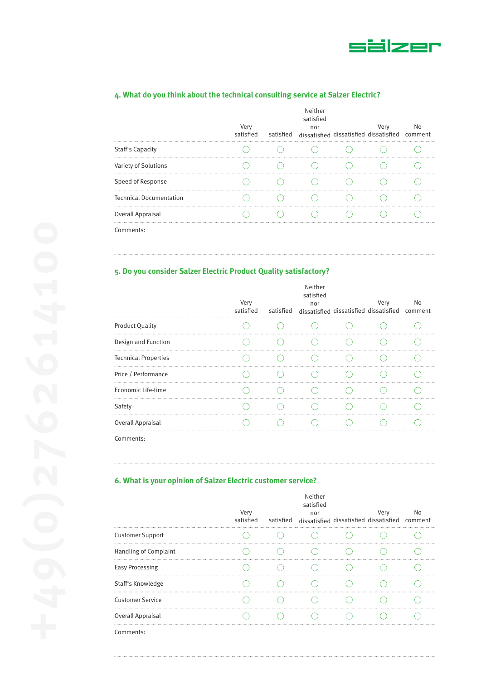

|                                | Very<br>satisfied | satisfied | Neither<br>satisfied<br>nor<br>dissatisfied dissatisfied dissatisfied | Very | No<br>comment |
|--------------------------------|-------------------|-----------|-----------------------------------------------------------------------|------|---------------|
| <b>Staff's Capacity</b>        |                   |           |                                                                       |      |               |
| Variety of Solutions           |                   |           |                                                                       |      |               |
| Speed of Response              |                   |           |                                                                       |      |               |
| <b>Technical Documentation</b> |                   |           |                                                                       |      |               |
| Overall Appraisal              |                   |           |                                                                       |      |               |
| Comments:                      |                   |           |                                                                       |      |               |

# **4. What do you think about the technical consulting service at Salzer Electric?**

# **5. Do you consider Salzer Electric Product Quality satisfactory?**

|                             | Very<br>satisfied | Neither<br>satisfied<br>nor<br>satisfied dissatisfied dissatisfied dissatisfied comment | Very | No |
|-----------------------------|-------------------|-----------------------------------------------------------------------------------------|------|----|
| <b>Product Quality</b>      |                   |                                                                                         |      |    |
| Design and Function         |                   |                                                                                         |      |    |
| <b>Technical Properties</b> |                   |                                                                                         |      |    |
| Price / Performance         |                   |                                                                                         |      |    |
| Economic Life-time          |                   |                                                                                         |      |    |
| Safety                      |                   |                                                                                         |      |    |
| Overall Appraisal           |                   |                                                                                         |      |    |
|                             |                   |                                                                                         |      |    |

Comments:

### **6. What is your opinion of Salzer Electric customer service?**

|                         | Very<br>satisfied | Neither<br>satisfied<br>nor<br>satisfied dissatisfied dissatisfied dissatisfied comment | Very | No |  |
|-------------------------|-------------------|-----------------------------------------------------------------------------------------|------|----|--|
| <b>Customer Support</b> |                   |                                                                                         |      |    |  |
| Handling of Complaint   |                   |                                                                                         |      |    |  |
| <b>Easy Processing</b>  |                   |                                                                                         |      |    |  |
| Staff's Knowledge       |                   |                                                                                         |      |    |  |
| <b>Customer Service</b> |                   |                                                                                         |      |    |  |
| Overall Appraisal       |                   |                                                                                         |      |    |  |
| Comments:               |                   |                                                                                         |      |    |  |